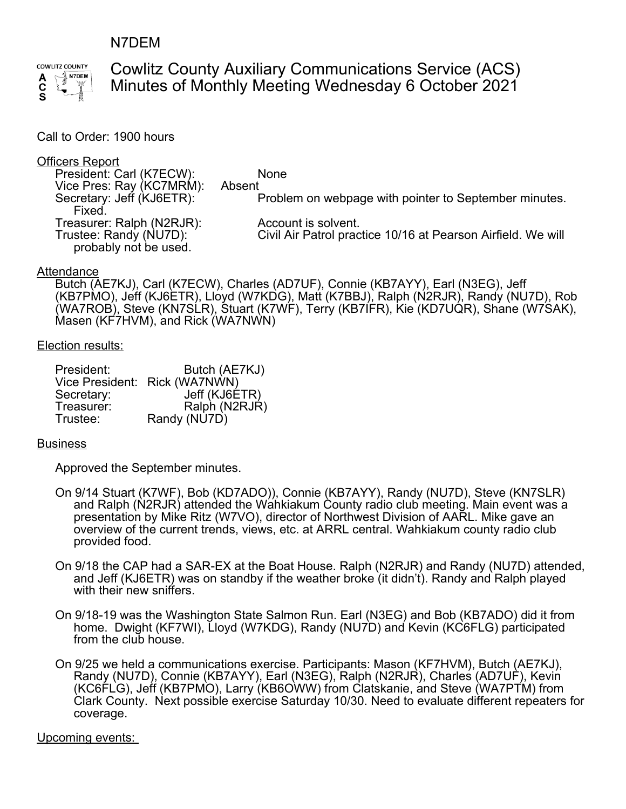## N7DEM



# Cowlitz County Auxiliary Communications Service (ACS) Minutes of Monthly Meeting Wednesday 6 October 2021

#### Call to Order: 1900 hours

# **Officers Report**<br>President: C

| <u>oo aa aan dh</u>       |                                                              |
|---------------------------|--------------------------------------------------------------|
| President: Carl (K7ECW):  | <b>None</b>                                                  |
| Vice Pres: Ray (KC7MRM):  | Absent                                                       |
| Secretary: Jeff (KJ6ETR): | Problem on webpage with pointer to September minutes.        |
| Fixed.                    |                                                              |
| Treasurer: Ralph (N2RJR): | Account is solvent.                                          |
| Trustee: Randy (NU7D):    | Civil Air Patrol practice 10/16 at Pearson Airfield. We will |
| probably not be used.     |                                                              |

#### Attendance

Butch (AE7KJ), Carl (K7ECW), Charles (AD7UF), Connie (KB7AYY), Earl (N3EG), Jeff (KB7PMO), Jeff (KJ6ETR), Lloyd (W7KDG), Matt (K7BBJ), Ralph (N2RJR), Randy (NU7D), Rob (WA7ROB), Steve (KN7SLR), Stuart (K7WF), Terry (KB7IFR), Kie (KD7UQR), Shane (W7SAK), Masen (KF7HVM), and Rick (WA7NWN)

#### Election results:

| President: | Butch (AE7KJ)                 |
|------------|-------------------------------|
|            | Vice President: Rick (WA7NWN) |
| Secretary: | Jeff (KJ6ETR)                 |
| Treasurer: | Ralph (N2RJR)                 |
| Trustee:   | Randy (NU7D)                  |

#### **Business**

Approved the September minutes.

- On 9/14 Stuart (K7WF), Bob (KD7ADO)), Connie (KB7AYY), Randy (NU7D), Steve (KN7SLR) and Ralph (N2RJR) attended the Wahkiakum County radio club meeting. Main event was a presentation by Mike Ritz (W7VO), director of Northwest Division of AARL. Mike gave an overview of the current trends, views, etc. at ARRL central. Wahkiakum county radio club provided food.
- On 9/18 the CAP had a SAR-EX at the Boat House. Ralph (N2RJR) and Randy (NU7D) attended, and Jeff (KJ6ETR) was on standby if the weather broke (it didn't). Randy and Ralph played with their new sniffers.
- On 9/18-19 was the Washington State Salmon Run. Earl (N3EG) and Bob (KB7ADO) did it from home. Dwight (KF7WI), Lloyd (W7KDG), Randy (NU7D) and Kevin (KC6FLG) participated from the club house.
- On 9/25 we held a communications exercise. Participants: Mason (KF7HVM), Butch (AE7KJ), Randy (NU7D), Connie (KB7AYY), Earl (N3EG), Ralph (N2RJR), Charles (AD7UF), Kevin (KC6FLG), Jeff (KB7PMO), Larry (KB6OWW) from Clatskanie, and Steve (WA7PTM) from Clark County. Next possible exercise Saturday 10/30. Need to evaluate different repeaters for coverage.

#### Upcoming events: